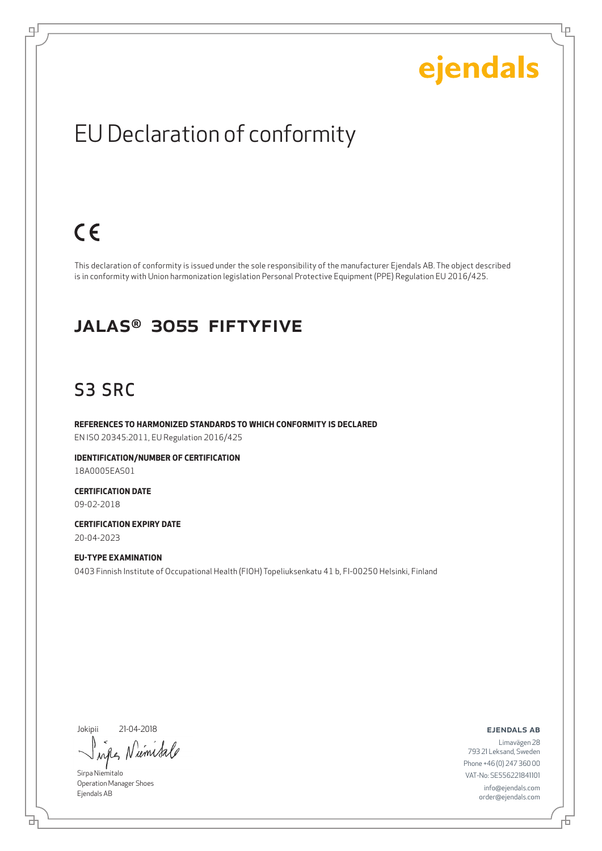Lρ

## EU Declaration of conformity

## $C \in$

ψ

This declaration of conformity is issued under the sole responsibility of the manufacturer Ejendals AB. The object described is in conformity with Union harmonization legislation Personal Protective Equipment (PPE) Regulation EU 2016/425.

#### JALAS® 3055 Fiftyfive

### S3 SRC

**REFERENCES TO HARMONIZED STANDARDS TO WHICH CONFORMITY IS DECLARED** EN ISO 20345:2011, EU Regulation 2016/425

**IDENTIFICATION/NUMBER OF CERTIFICATION** 18A0005EAS01

**CERTIFICATION DATE** 09-02-2018

**CERTIFICATION EXPIRY DATE** 20-04-2023

**EU-TYPE EXAMINATION** 0403 Finnish Institute of Occupational Health (FIOH) Topeliuksenkatu 41 b, FI-00250 Helsinki, Finland

Jokipii 21-04-2018

umis  $\lambda$ nd

Sirpa Niemitalo Operation Manager Shoes Ejendals AB

브

#### ejendals ab

Limavägen 28 793 21 Leksand, Sweden Phone +46 (0) 247 360 00 VAT-No: SE556221841101 info@ejendals.com order@ejendals.com

舌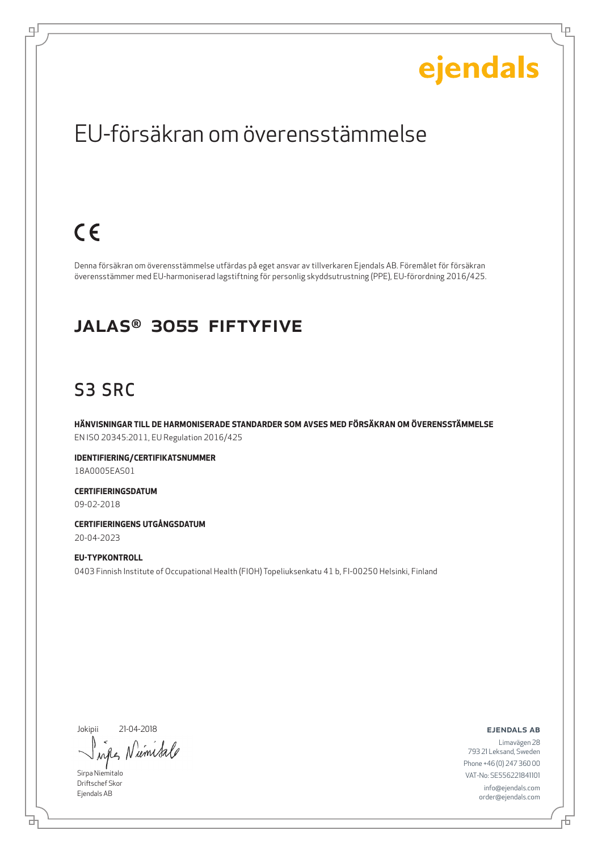Ļμ

### EU-försäkran om överensstämmelse

## $C \in$

ψ

Denna försäkran om överensstämmelse utfärdas på eget ansvar av tillverkaren Ejendals AB. Föremålet för försäkran överensstämmer med EU-harmoniserad lagstiftning för personlig skyddsutrustning (PPE), EU-förordning 2016/425.

#### JALAS® 3055 Fiftyfive

### S3 SRC

**HÄNVISNINGAR TILL DE HARMONISERADE STANDARDER SOM AVSES MED FÖRSÄKRAN OM ÖVERENSSTÄMMELSE** EN ISO 20345:2011, EU Regulation 2016/425

**IDENTIFIERING/CERTIFIKATSNUMMER** 18A0005EAS01

**CERTIFIERINGSDATUM** 09-02-2018

**CERTIFIERINGENS UTGÅNGSDATUM** 20-04-2023

**EU-TYPKONTROLL** 0403 Finnish Institute of Occupational Health (FIOH) Topeliuksenkatu 41 b, FI-00250 Helsinki, Finland

Jokipii 21-04-2018

Niemisale when

Sirpa Niemitalo Driftschef Skor Ejendals AB

ejendals ab

브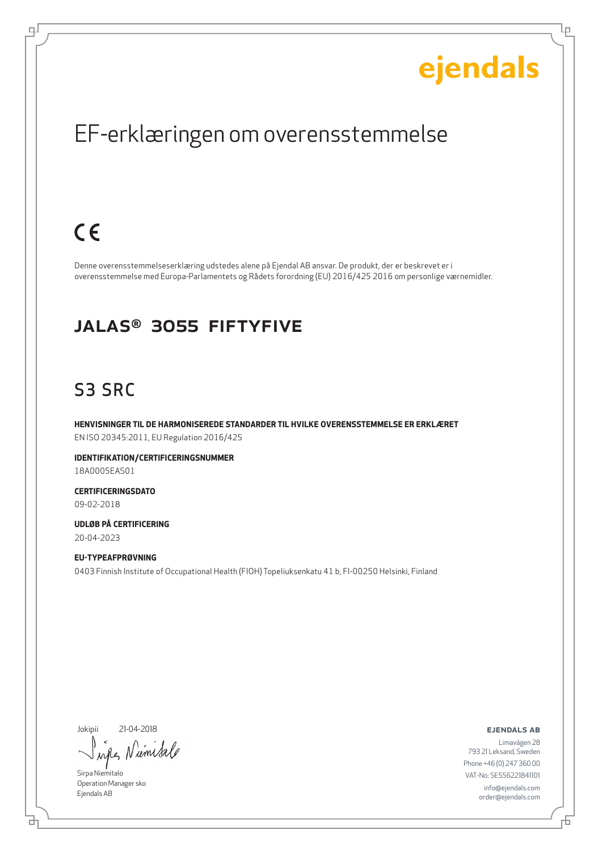Ļμ

### EF-erklæringen om overensstemmelse

## $C \in$

ψ

Denne overensstemmelseserklæring udstedes alene på Ejendal AB ansvar. De produkt, der er beskrevet er i overensstemmelse med Europa-Parlamentets og Rådets forordning (EU) 2016/425 2016 om personlige værnemidler.

#### JALAS® 3055 Fiftyfive

### S3 SRC

**HENVISNINGER TIL DE HARMONISEREDE STANDARDER TIL HVILKE OVERENSSTEMMELSE ER ERKLÆRET** EN ISO 20345:2011, EU Regulation 2016/425

**IDENTIFIKATION/CERTIFICERINGSNUMMER** 18A0005EAS01

**CERTIFICERINGSDATO** 09-02-2018

**UDLØB PÅ CERTIFICERING** 20-04-2023

**EU-TYPEAFPRØVNING** 0403 Finnish Institute of Occupational Health (FIOH) Topeliuksenkatu 41 b, FI-00250 Helsinki, Finland

Jokipii 21-04-2018

ums  $\lambda \alpha \ell$ 

Sirpa Niemitalo Operation Manager sko Ejendals AB

₫

ejendals ab

舌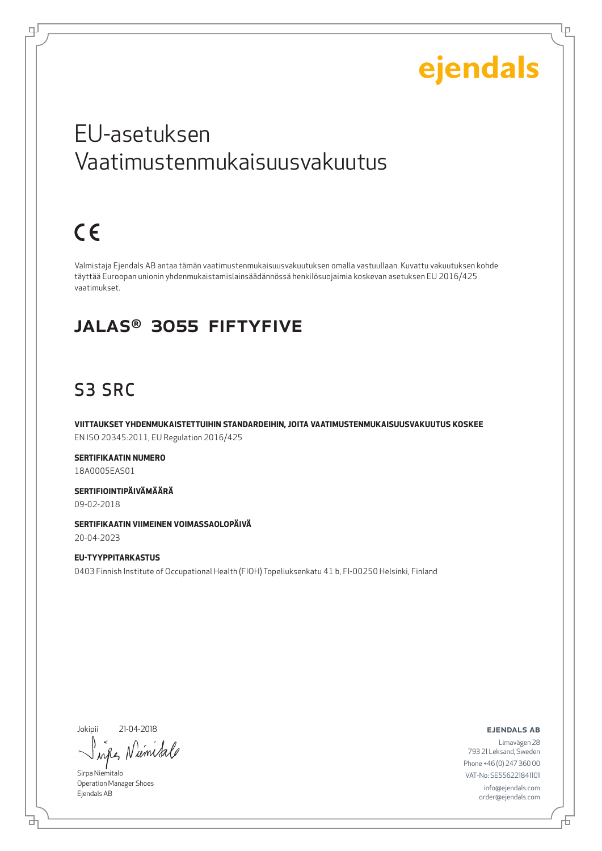Lр

## EU-asetuksen Vaatimustenmukaisuusvakuutus

## $C \in$

ᆗ

Valmistaja Ejendals AB antaa tämän vaatimustenmukaisuusvakuutuksen omalla vastuullaan. Kuvattu vakuutuksen kohde täyttää Euroopan unionin yhdenmukaistamislainsäädännössä henkilösuojaimia koskevan asetuksen EU 2016/425 vaatimukset.

#### JALAS® 3055 Fiftyfive

### S3 SRC

**VIITTAUKSET YHDENMUKAISTETTUIHIN STANDARDEIHIN, JOITA VAATIMUSTENMUKAISUUSVAKUUTUS KOSKEE** EN ISO 20345:2011, EU Regulation 2016/425

**SERTIFIKAATIN NUMERO** 18A0005EAS01

**SERTIFIOINTIPÄIVÄMÄÄRÄ** 09-02-2018

**SERTIFIKAATIN VIIMEINEN VOIMASSAOLOPÄIVÄ** 20-04-2023

**EU-TYYPPITARKASTUS** 0403 Finnish Institute of Occupational Health (FIOH) Topeliuksenkatu 41 b, FI-00250 Helsinki, Finland

Jokipii 21-04-2018

umsa  $\lambda$ all

Sirpa Niemitalo Operation Manager Shoes Ejendals AB

ejendals ab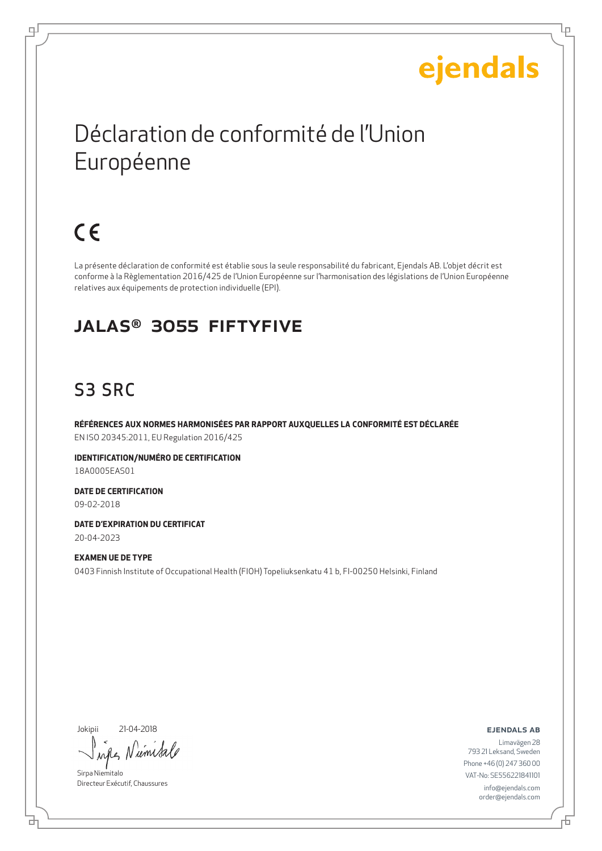Lр

## Déclaration de conformité de l'Union Européenne

## $C \in$

டி

La présente déclaration de conformité est établie sous la seule responsabilité du fabricant, Ejendals AB. L'objet décrit est conforme à la Règlementation 2016/425 de l'Union Européenne sur l'harmonisation des législations de l'Union Européenne relatives aux équipements de protection individuelle (EPI).

### JALAS® 3055 Fiftyfive

### S3 SRC

**RÉFÉRENCES AUX NORMES HARMONISÉES PAR RAPPORT AUXQUELLES LA CONFORMITÉ EST DÉCLARÉE** EN ISO 20345:2011, EU Regulation 2016/425

**IDENTIFICATION/NUMÉRO DE CERTIFICATION** 18A0005EAS01

**DATE DE CERTIFICATION** 09-02-2018

**DATE D'EXPIRATION DU CERTIFICAT** 20-04-2023

**EXAMEN UE DE TYPE** 0403 Finnish Institute of Occupational Health (FIOH) Topeliuksenkatu 41 b, FI-00250 Helsinki, Finland

Jokipii 21-04-2018

б

umi  $\lambda$ <sup> $\Lambda$ </sup>

Sirpa Niemitalo Directeur Exécutif, Chaussures

ejendals ab

Đ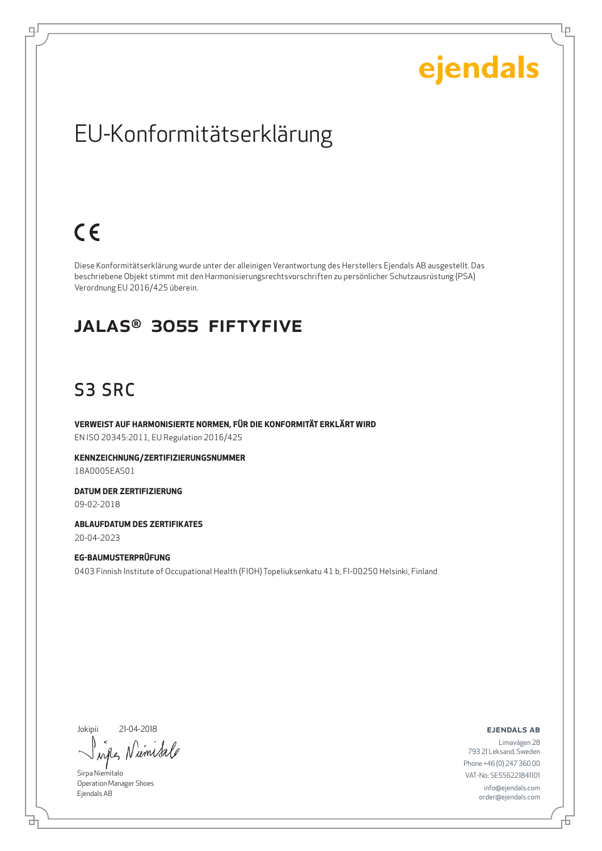Ļμ

## EU-Konformitätserklärung

## $C \in$

டி

Diese Konformitätserklärung wurde unter der alleinigen Verantwortung des Herstellers Ejendals AB ausgestellt. Das beschriebene Objekt stimmt mit den Harmonisierungsrechtsvorschriften zu persönlicher Schutzausrüstung (PSA) Verordnung EU 2016/425 überein.

#### JALAS® 3055 Fiftyfive

### S3 SRC

**VERWEIST AUF HARMONISIERTE NORMEN, FÜR DIE KONFORMITÄT ERKLÄRT WIRD** EN ISO 20345:2011, EU Regulation 2016/425

**KENNZEICHNUNG/ZERTIFIZIERUNGSNUMMER** 18A0005EAS01

**DATUM DER ZERTIFIZIERUNG** 09-02-2018

**ABLAUFDATUM DES ZERTIFIKATES** 20-04-2023

**EG-BAUMUSTERPRÜFUNG** 0403 Finnish Institute of Occupational Health (FIOH) Topeliuksenkatu 41 b, FI-00250 Helsinki, Finland

Jokipii 21-04-2018

umsa  $\lambda \alpha \ell$ 

Sirpa Niemitalo Operation Manager Shoes Ejendals AB

브

ejendals ab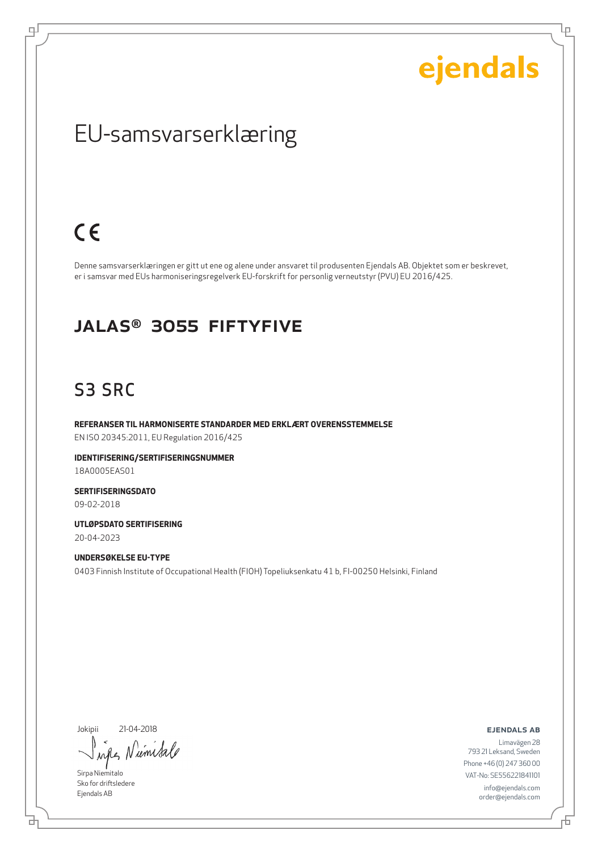Ļμ

### EU-samsvarserklæring

## $C \in$

ψ

Denne samsvarserklæringen er gitt ut ene og alene under ansvaret til produsenten Ejendals AB. Objektet som er beskrevet, er i samsvar med EUs harmoniseringsregelverk EU-forskrift for personlig verneutstyr (PVU) EU 2016/425.

#### JALAS® 3055 Fiftyfive

### S3 SRC

**REFERANSER TIL HARMONISERTE STANDARDER MED ERKLÆRT OVERENSSTEMMELSE** EN ISO 20345:2011, EU Regulation 2016/425

**IDENTIFISERING/SERTIFISERINGSNUMMER** 18A0005EAS01

**SERTIFISERINGSDATO** 09-02-2018

**UTLØPSDATO SERTIFISERING** 20-04-2023

**UNDERSØKELSE EU-TYPE** 0403 Finnish Institute of Occupational Health (FIOH) Topeliuksenkatu 41 b, FI-00250 Helsinki, Finland

Jokipii 21-04-2018

Niemisa when

Sirpa Niemitalo Sko for driftsledere Ejendals AB

브

ejendals ab

Limavägen 28 793 21 Leksand, Sweden Phone +46 (0) 247 360 00 VAT-No: SE556221841101 info@ejendals.com order@ejendals.com

舌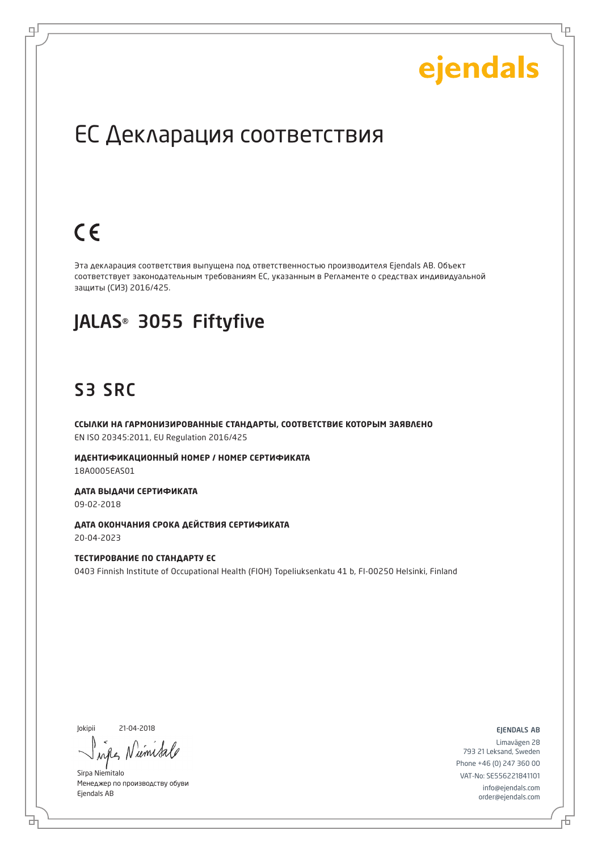Lр

### ЕС Декларация соответствия

## $C \in$

로

Эта декларация соответствия выпущена под ответственностью производителя Ejendals AB. Объект соответствует законодательным требованиям ЕС, указанным в Регламенте о средствах индивидуальной защиты (СИЗ) 2016/425.

### JALAS® 3055 Fiftyfive

### S3 SRC

**ССЫЛКИ НА ГАРМОНИЗИРОВАННЫЕ СТАНДАРТЫ, СООТВЕТСТВИЕ КОТОРЫМ ЗАЯВЛЕНО** EN ISO 20345:2011, EU Regulation 2016/425

**ИДЕНТИФИКАЦИОННЫЙ НОМЕР / НОМЕР СЕРТИФИКАТА** 18A0005EAS01

**ДАТА ВЫДАЧИ СЕРТИФИКАТА** 09-02-2018

**ДАТА ОКОНЧАНИЯ СРОКА ДЕЙСТВИЯ СЕРТИФИКАТА** 20-04-2023

**ТЕСТИРОВАНИЕ ПО СТАНДАРТУ ЕС** 0403 Finnish Institute of Occupational Health (FIOH) Topeliuksenkatu 41 b, FI-00250 Helsinki, Finland

Jokipii 21-04-2018

б

um

Sirpa Niemitalo Менеджер по производству обуви Ejendals AB

ejendals ab

Đ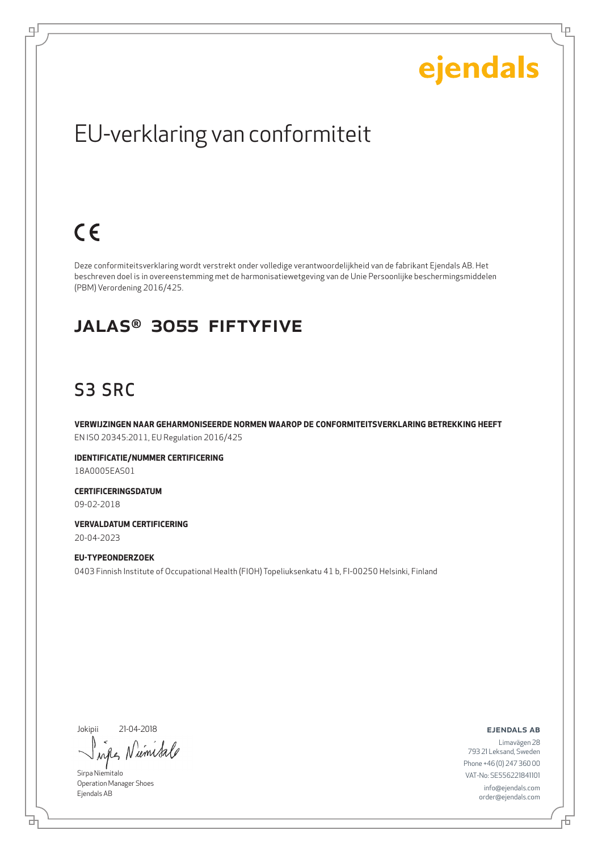Ļμ

## EU-verklaring van conformiteit

## $C \in$

டி

Deze conformiteitsverklaring wordt verstrekt onder volledige verantwoordelijkheid van de fabrikant Ejendals AB. Het beschreven doel is in overeenstemming met de harmonisatiewetgeving van de Unie Persoonlijke beschermingsmiddelen (PBM) Verordening 2016/425.

#### JALAS® 3055 Fiftyfive

### S3 SRC

**VERWIJZINGEN NAAR GEHARMONISEERDE NORMEN WAAROP DE CONFORMITEITSVERKLARING BETREKKING HEEFT** EN ISO 20345:2011, EU Regulation 2016/425

**IDENTIFICATIE/NUMMER CERTIFICERING** 18A0005EAS01

**CERTIFICERINGSDATUM** 09-02-2018

**VERVALDATUM CERTIFICERING** 20-04-2023

**EU-TYPEONDERZOEK** 0403 Finnish Institute of Occupational Health (FIOH) Topeliuksenkatu 41 b, FI-00250 Helsinki, Finland

Jokipii 21-04-2018

iemis  $\lambda \alpha \ell$ 

Sirpa Niemitalo Operation Manager Shoes Ejendals AB

브

ejendals ab

舌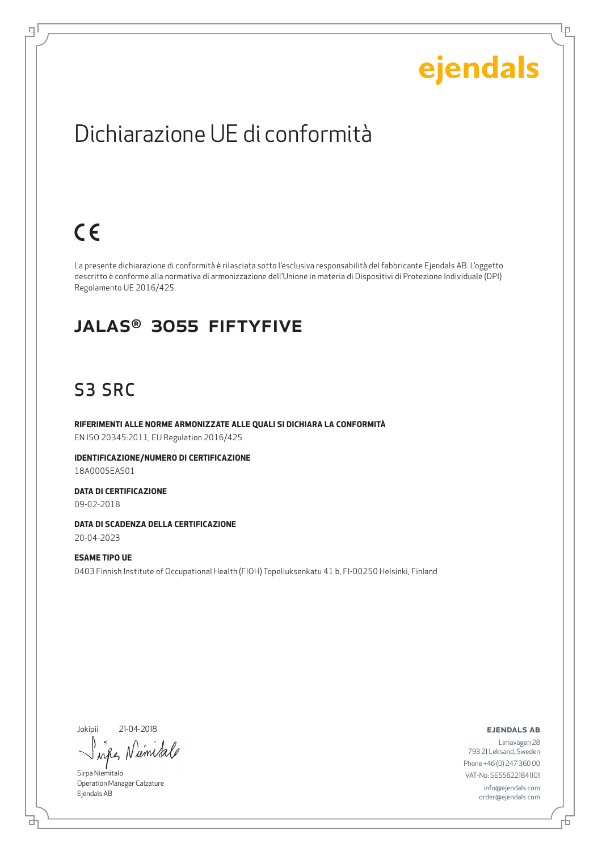Lρ

## Dichiarazione UE di conformità

## $C \in$

டி

La presente dichiarazione di conformità è rilasciata sotto l'esclusiva responsabilità del fabbricante Ejendals AB. L'oggetto descritto è conforme alla normativa di armonizzazione dell'Unione in materia di Dispositivi di Protezione Individuale (DPI) Regolamento UE 2016/425.

#### JALAS® 3055 Fiftyfive

### S3 SRC

**RIFERIMENTI ALLE NORME ARMONIZZATE ALLE QUALI SI DICHIARA LA CONFORMITÀ** EN ISO 20345:2011, EU Regulation 2016/425

**IDENTIFICAZIONE/NUMERO DI CERTIFICAZIONE** 18A0005EAS01

**DATA DI CERTIFICAZIONE** 09-02-2018

**DATA DI SCADENZA DELLA CERTIFICAZIONE** 20-04-2023

**ESAME TIPO UE** 0403 Finnish Institute of Occupational Health (FIOH) Topeliuksenkatu 41 b, FI-00250 Helsinki, Finland

Jokipii 21-04-2018

umisa  $\lambda$ n

Sirpa Niemitalo Operation Manager Calzature Ejendals AB

#### ejendals ab

Limavägen 28 793 21 Leksand, Sweden Phone +46 (0) 247 360 00 VAT-No: SE556221841101 info@ejendals.com order@ejendals.com

브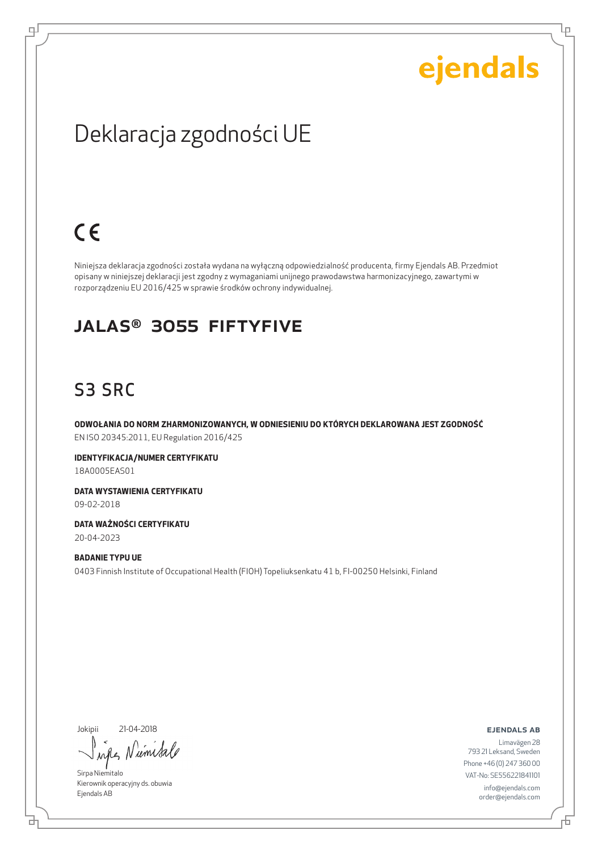Ļμ

## Deklaracja zgodności UE

## $C \in$

цJ

Niniejsza deklaracja zgodności została wydana na wyłączną odpowiedzialność producenta, firmy Ejendals AB. Przedmiot opisany w niniejszej deklaracji jest zgodny z wymaganiami unijnego prawodawstwa harmonizacyjnego, zawartymi w rozporządzeniu EU 2016/425 w sprawie środków ochrony indywidualnej.

#### JALAS® 3055 Fiftyfive

### S3 SRC

**ODWOŁANIA DO NORM ZHARMONIZOWANYCH, W ODNIESIENIU DO KTÓRYCH DEKLAROWANA JEST ZGODNOŚĆ** EN ISO 20345:2011, EU Regulation 2016/425

**IDENTYFIKACJA/NUMER CERTYFIKATU** 18A0005EAS01

**DATA WYSTAWIENIA CERTYFIKATU** 09-02-2018

**DATA WAŻNOŚCI CERTYFIKATU** 20-04-2023

**BADANIE TYPU UE** 0403 Finnish Institute of Occupational Health (FIOH) Topeliuksenkatu 41 b, FI-00250 Helsinki, Finland

Jokipii 21-04-2018

₫

umisa when

Sirpa Niemitalo Kierownik operacyjny ds. obuwia Ejendals AB

ejendals ab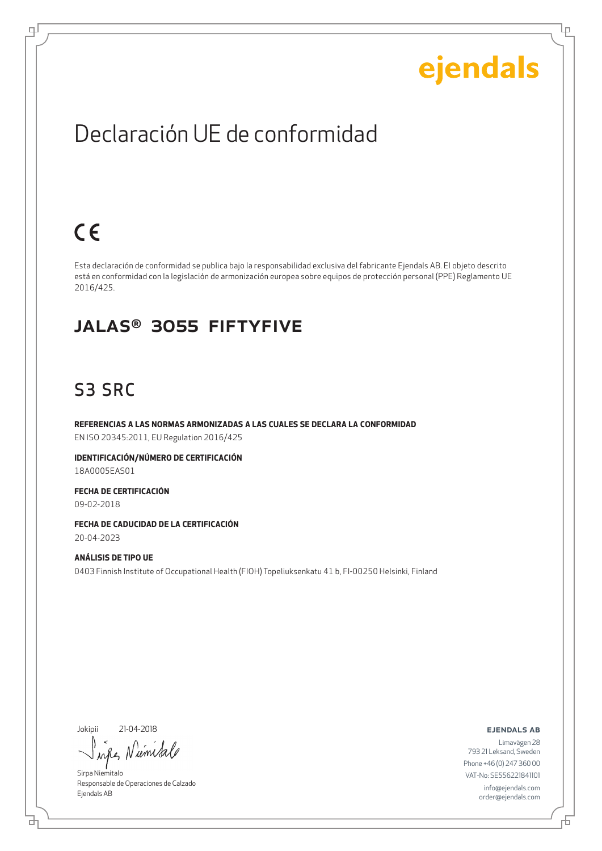Ļμ

### Declaración UE de conformidad

## $C \in$

цI

Esta declaración de conformidad se publica bajo la responsabilidad exclusiva del fabricante Ejendals AB. El objeto descrito está en conformidad con la legislación de armonización europea sobre equipos de protección personal (PPE) Reglamento UE 2016/425.

#### JALAS® 3055 Fiftyfive

### S3 SRC

**REFERENCIAS A LAS NORMAS ARMONIZADAS A LAS CUALES SE DECLARA LA CONFORMIDAD** EN ISO 20345:2011, EU Regulation 2016/425

**IDENTIFICACIÓN/NÚMERO DE CERTIFICACIÓN** 18A0005EAS01

**FECHA DE CERTIFICACIÓN** 09-02-2018

**FECHA DE CADUCIDAD DE LA CERTIFICACIÓN** 20-04-2023

**ANÁLISIS DE TIPO UE** 0403 Finnish Institute of Occupational Health (FIOH) Topeliuksenkatu 41 b, FI-00250 Helsinki, Finland

Jokipii 21-04-2018

rémisa when

Sirpa Niemitalo Responsable de Operaciones de Calzado Ejendals AB

ejendals ab

Đ

Limavägen 28 793 21 Leksand, Sweden Phone +46 (0) 247 360 00 VAT-No: SE556221841101 info@ejendals.com order@ejendals.com

브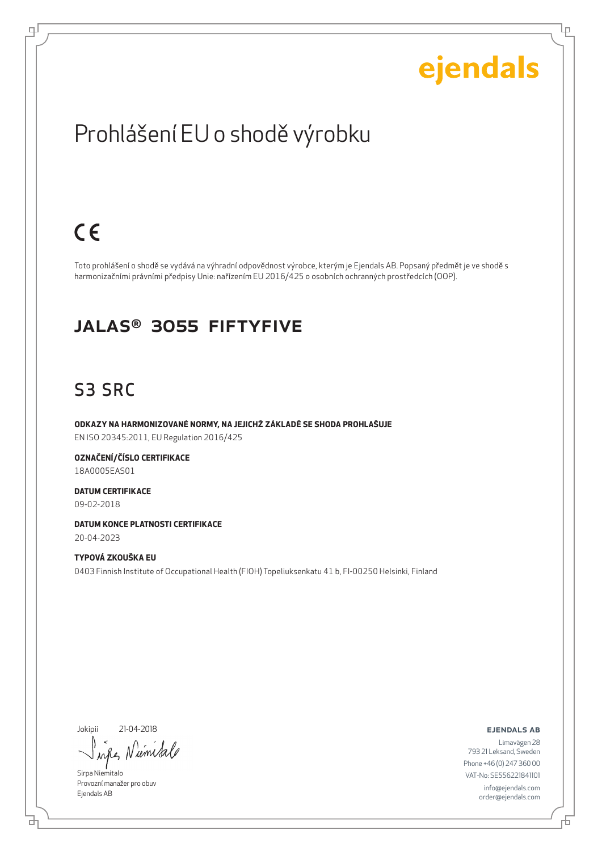Ļμ

## Prohlášení EU o shodě výrobku

## $C \in$

டி

Toto prohlášení o shodě se vydává na výhradní odpovědnost výrobce, kterým je Ejendals AB. Popsaný předmět je ve shodě s harmonizačními právními předpisy Unie: nařízením EU 2016/425 o osobních ochranných prostředcích (OOP).

#### JALAS® 3055 Fiftyfive

### S3 SRC

**ODKAZY NA HARMONIZOVANÉ NORMY, NA JEJICHŽ ZÁKLADĚ SE SHODA PROHLAŠUJE** EN ISO 20345:2011, EU Regulation 2016/425

**OZNAČENÍ/ČÍSLO CERTIFIKACE** 18A0005EAS01

**DATUM CERTIFIKACE** 09-02-2018

**DATUM KONCE PLATNOSTI CERTIFIKACE**

20-04-2023

**TYPOVÁ ZKOUŠKA EU** 0403 Finnish Institute of Occupational Health (FIOH) Topeliuksenkatu 41 b, FI-00250 Helsinki, Finland

Jokipii 21-04-2018

umisa  $\lambda \alpha \ell$ 

Sirpa Niemitalo Provozní manažer pro obuv Ejendals AB

ejendals ab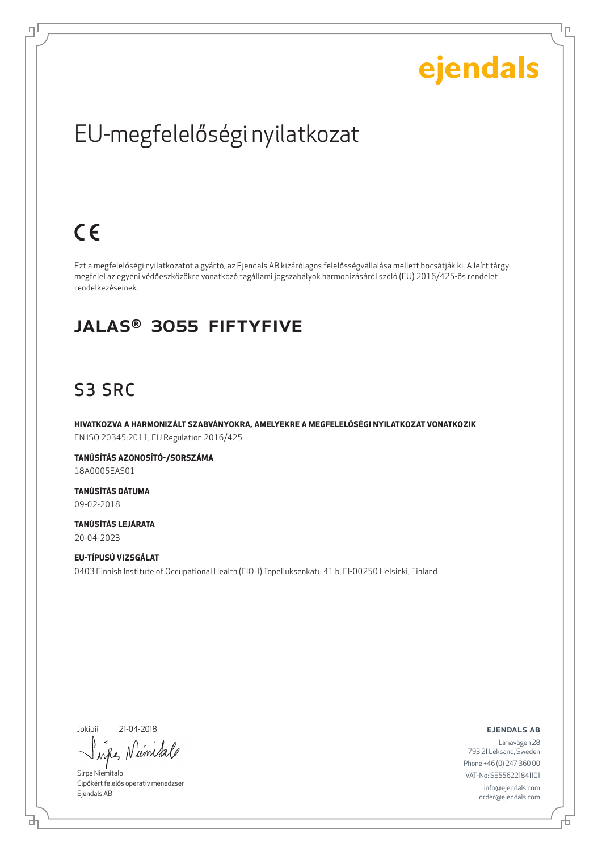Ļμ

## EU-megfelelőségi nyilatkozat

## $C \in$

ᆗ

Ezt a megfelelőségi nyilatkozatot a gyártó, az Ejendals AB kizárólagos felelősségvállalása mellett bocsátják ki. A leírt tárgy megfelel az egyéni védőeszközökre vonatkozó tagállami jogszabályok harmonizásáról szóló (EU) 2016/425-ös rendelet rendelkezéseinek.

#### JALAS® 3055 Fiftyfive

### S3 SRC

**HIVATKOZVA A HARMONIZÁLT SZABVÁNYOKRA, AMELYEKRE A MEGFELELŐSÉGI NYILATKOZAT VONATKOZIK** EN ISO 20345:2011, EU Regulation 2016/425

**TANÚSÍTÁS AZONOSÍTÓ-/SORSZÁMA** 18A0005EAS01

**TANÚSÍTÁS DÁTUMA** 09-02-2018

**TANÚSÍTÁS LEJÁRATA** 20-04-2023

**EU-TÍPUSÚ VIZSGÁLAT** 0403 Finnish Institute of Occupational Health (FIOH) Topeliuksenkatu 41 b, FI-00250 Helsinki, Finland

Jokipii 21-04-2018

₫

umisa  $\lambda$ n

Sirpa Niemitalo Cipőkért felelős operatív menedzser Ejendals AB

ejendals ab

Đ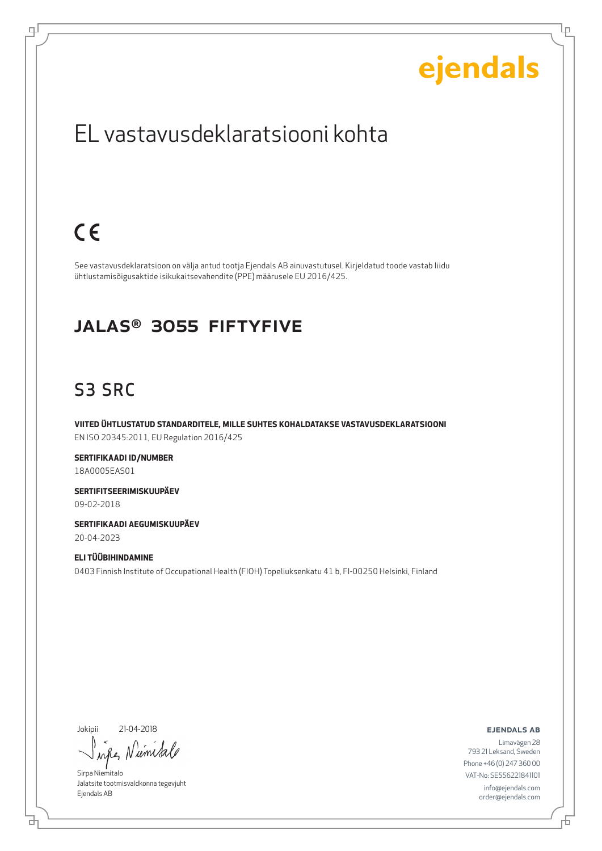Lρ

## EL vastavusdeklaratsiooni kohta

## $C \in$

цI

See vastavusdeklaratsioon on välja antud tootja Ejendals AB ainuvastutusel. Kirjeldatud toode vastab liidu ühtlustamisõigusaktide isikukaitsevahendite (PPE) määrusele EU 2016/425.

#### JALAS® 3055 Fiftyfive

### S3 SRC

**VIITED ÜHTLUSTATUD STANDARDITELE, MILLE SUHTES KOHALDATAKSE VASTAVUSDEKLARATSIOONI** EN ISO 20345:2011, EU Regulation 2016/425

**SERTIFIKAADI ID/NUMBER** 18A0005EAS01

**SERTIFITSEERIMISKUUPÄEV** 09-02-2018

**SERTIFIKAADI AEGUMISKUUPÄEV** 20-04-2023

**ELI TÜÜBIHINDAMINE** 0403 Finnish Institute of Occupational Health (FIOH) Topeliuksenkatu 41 b, FI-00250 Helsinki, Finland

Jokipii 21-04-2018

브

Niemisa  $\lambda \alpha \ell$ 

Sirpa Niemitalo Jalatsite tootmisvaldkonna tegevjuht Ejendals AB

ejendals ab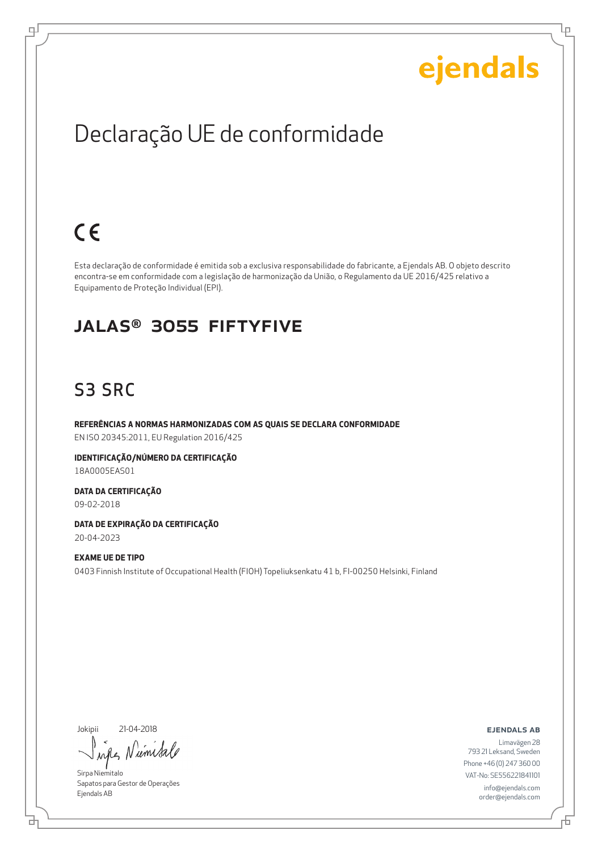Ļμ

## Declaração UE de conformidade

## $C \in$

ᆗ

Esta declaração de conformidade é emitida sob a exclusiva responsabilidade do fabricante, a Ejendals AB. O objeto descrito encontra-se em conformidade com a legislação de harmonização da União, o Regulamento da UE 2016/425 relativo a Equipamento de Proteção Individual (EPI).

#### JALAS® 3055 Fiftyfive

### S3 SRC

**REFERÊNCIAS A NORMAS HARMONIZADAS COM AS QUAIS SE DECLARA CONFORMIDADE** EN ISO 20345:2011, EU Regulation 2016/425

**IDENTIFICAÇÃO/NÚMERO DA CERTIFICAÇÃO** 18A0005EAS01

**DATA DA CERTIFICAÇÃO** 09-02-2018

**DATA DE EXPIRAÇÃO DA CERTIFICAÇÃO** 20-04-2023

**EXAME UE DE TIPO** 0403 Finnish Institute of Occupational Health (FIOH) Topeliuksenkatu 41 b, FI-00250 Helsinki, Finland

Jokipii 21-04-2018

um ru

Sirpa Niemitalo Sapatos para Gestor de Operações Ejendals AB

ejendals ab

₫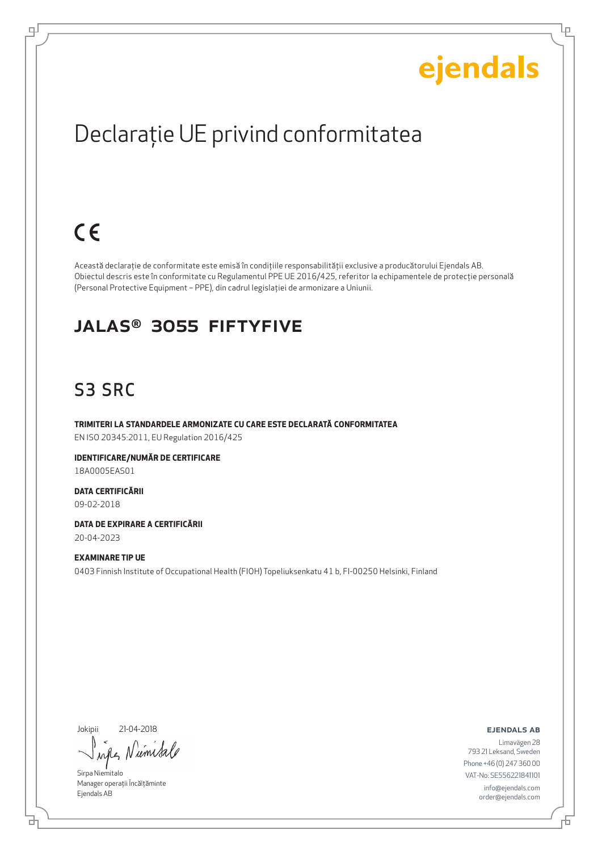Lр

## Declaraţie UE privind conformitatea

## $C \in$

ᆗ

Această declaraţie de conformitate este emisă în condiţiile responsabilităţii exclusive a producătorului Ejendals AB. Obiectul descris este în conformitate cu Regulamentul PPE UE 2016/425, referitor la echipamentele de protecţie personală (Personal Protective Equipment – PPE), din cadrul legislaţiei de armonizare a Uniunii.

#### JALAS® 3055 Fiftyfive

### S3 SRC

**TRIMITERI LA STANDARDELE ARMONIZATE CU CARE ESTE DECLARATĂ CONFORMITATEA** EN ISO 20345:2011, EU Regulation 2016/425

**IDENTIFICARE/NUMĂR DE CERTIFICARE** 18A0005EAS01

**DATA CERTIFICĂRII** 09-02-2018

**DATA DE EXPIRARE A CERTIFICĂRII** 20-04-2023

**EXAMINARE TIP UE** 0403 Finnish Institute of Occupational Health (FIOH) Topeliuksenkatu 41 b, FI-00250 Helsinki, Finland

Jokipii 21-04-2018

umi  $\lambda$ nd

Sirpa Niemitalo Manager operații Încălțăminte Ejendals AB

ejendals ab

Limavägen 28 793 21 Leksand, Sweden Phone +46 (0) 247 360 00 VAT-No: SE556221841101 info@ejendals.com order@ejendals.com

₫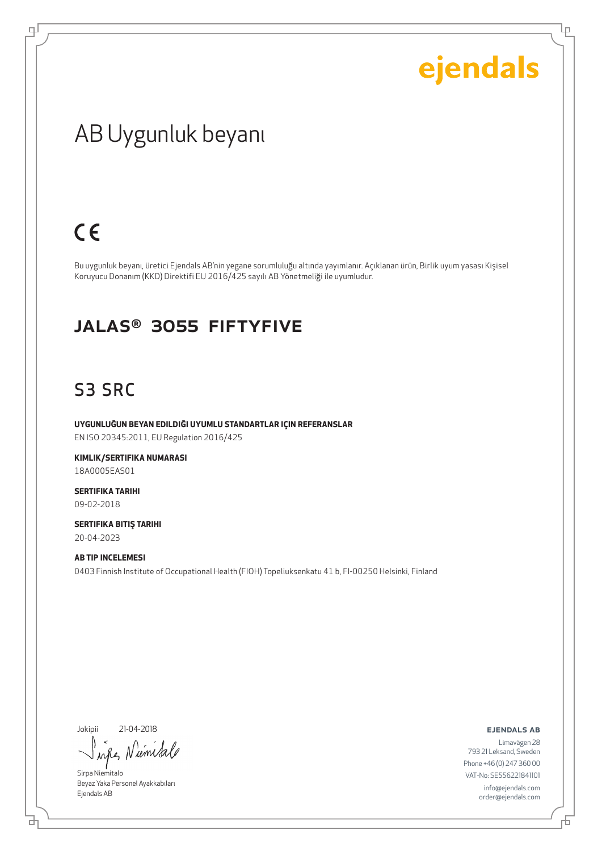Ļμ

## AB Uygunluk beyanı

## $C \in$

цI

Bu uygunluk beyanı, üretici Ejendals AB'nin yegane sorumluluğu altında yayımlanır. Açıklanan ürün, Birlik uyum yasası Kişisel Koruyucu Donanım (KKD) Direktifi EU 2016/425 sayılı AB Yönetmeliği ile uyumludur.

#### JALAS® 3055 Fiftyfive

### S3 SRC

**UYGUNLUĞUN BEYAN EDILDIĞI UYUMLU STANDARTLAR IÇIN REFERANSLAR** EN ISO 20345:2011, EU Regulation 2016/425

**KIMLIK/SERTIFIKA NUMARASI** 18A0005EAS01

**SERTIFIKA TARIHI** 09-02-2018

**SERTIFIKA BITIŞ TARIHI** 20-04-2023

**AB TIP INCELEMESI** 0403 Finnish Institute of Occupational Health (FIOH) Topeliuksenkatu 41 b, FI-00250 Helsinki, Finland

Jokipii 21-04-2018

브

umisa when N

Sirpa Niemitalo Beyaz Yaka Personel Ayakkabıları Ejendals AB

ejendals ab

舌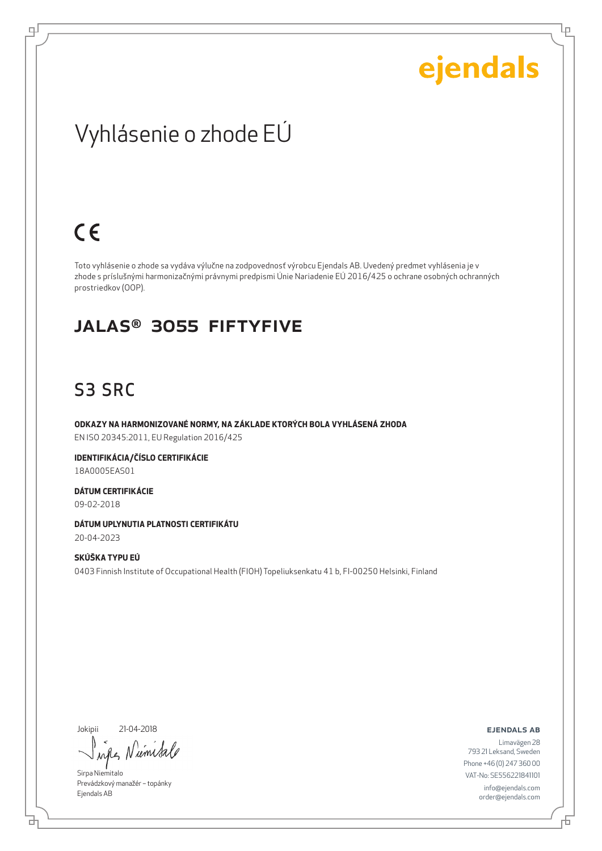Lρ

## Vyhlásenie o zhode EÚ

## $C \in$

ᆗ

Toto vyhlásenie o zhode sa vydáva výlučne na zodpovednosť výrobcu Ejendals AB. Uvedený predmet vyhlásenia je v zhode s príslušnými harmonizačnými právnymi predpismi Únie Nariadenie EÚ 2016/425 o ochrane osobných ochranných prostriedkov (OOP).

#### JALAS® 3055 Fiftyfive

### S3 SRC

**ODKAZY NA HARMONIZOVANÉ NORMY, NA ZÁKLADE KTORÝCH BOLA VYHLÁSENÁ ZHODA** EN ISO 20345:2011, EU Regulation 2016/425

**IDENTIFIKÁCIA/ČÍSLO CERTIFIKÁCIE** 18A0005EAS01

**DÁTUM CERTIFIKÁCIE** 09-02-2018

**DÁTUM UPLYNUTIA PLATNOSTI CERTIFIKÁTU** 20-04-2023

**SKÚŠKA TYPU EÚ** 0403 Finnish Institute of Occupational Health (FIOH) Topeliuksenkatu 41 b, FI-00250 Helsinki, Finland

Jokipii 21-04-2018

브

umi when

Sirpa Niemitalo Prevádzkový manažér – topánky Ejendals AB

ejendals ab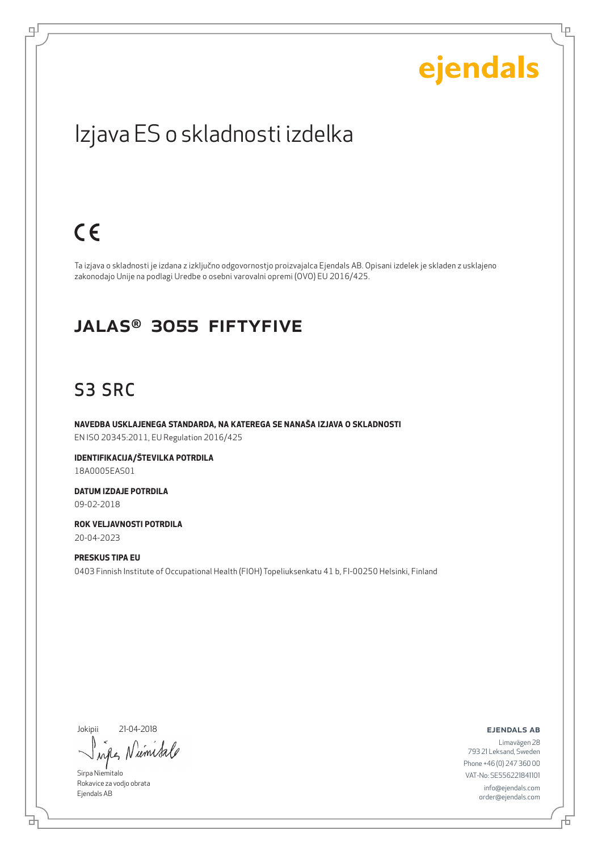Lρ

## Izjava ES o skladnosti izdelka

## $C \in$

цI

Ta izjava o skladnosti je izdana z izključno odgovornostjo proizvajalca Ejendals AB. Opisani izdelek je skladen z usklajeno zakonodajo Unije na podlagi Uredbe o osebni varovalni opremi (OVO) EU 2016/425.

#### JALAS® 3055 Fiftyfive

### S3 SRC

**NAVEDBA USKLAJENEGA STANDARDA, NA KATEREGA SE NANAŠA IZJAVA O SKLADNOSTI** EN ISO 20345:2011, EU Regulation 2016/425

**IDENTIFIKACIJA/ŠTEVILKA POTRDILA** 18A0005EAS01

**DATUM IZDAJE POTRDILA** 09-02-2018

**ROK VELJAVNOSTI POTRDILA** 20-04-2023

**PRESKUS TIPA EU** 0403 Finnish Institute of Occupational Health (FIOH) Topeliuksenkatu 41 b, FI-00250 Helsinki, Finland

Jokipii 21-04-2018

umsa  $\lambda \alpha \ell$ 

Sirpa Niemitalo Rokavice za vodjo obrata Ejendals AB

브

ejendals ab

舌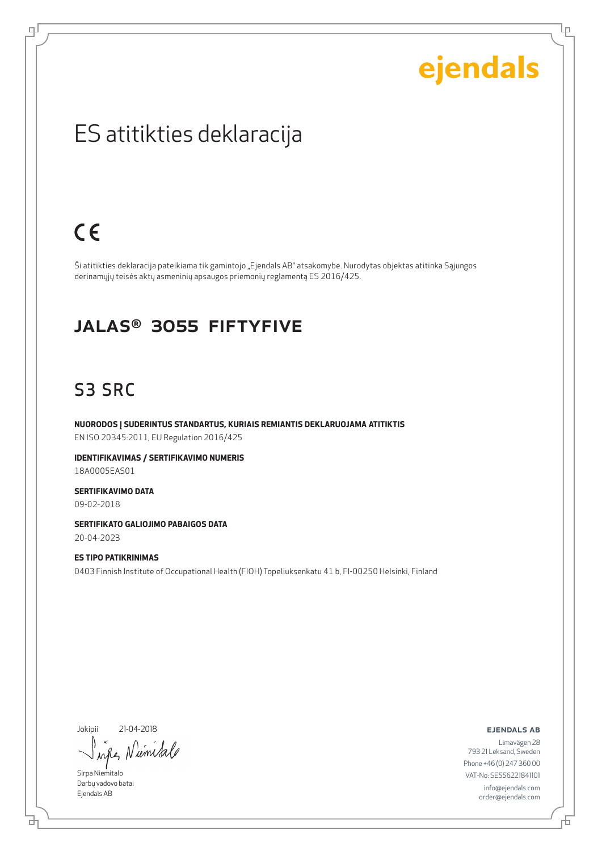Lρ

### ES atitikties deklaracija

## $C \in$

цI

Ši atitikties deklaracija pateikiama tik gamintojo "Ejendals AB" atsakomybe. Nurodytas objektas atitinka Sąjungos derinamųjų teisės aktų asmeninių apsaugos priemonių reglamentą ES 2016/425.

#### JALAS® 3055 Fiftyfive

### S3 SRC

**NUORODOS Į SUDERINTUS STANDARTUS, KURIAIS REMIANTIS DEKLARUOJAMA ATITIKTIS** EN ISO 20345:2011, EU Regulation 2016/425

**IDENTIFIKAVIMAS / SERTIFIKAVIMO NUMERIS** 18A0005EAS01

**SERTIFIKAVIMO DATA** 09-02-2018

**SERTIFIKATO GALIOJIMO PABAIGOS DATA** 20-04-2023

**ES TIPO PATIKRINIMAS** 0403 Finnish Institute of Occupational Health (FIOH) Topeliuksenkatu 41 b, FI-00250 Helsinki, Finland

Jokipii 21-04-2018

'um sa when

Sirpa Niemitalo Darbų vadovo batai Ejendals AB

브

ejendals ab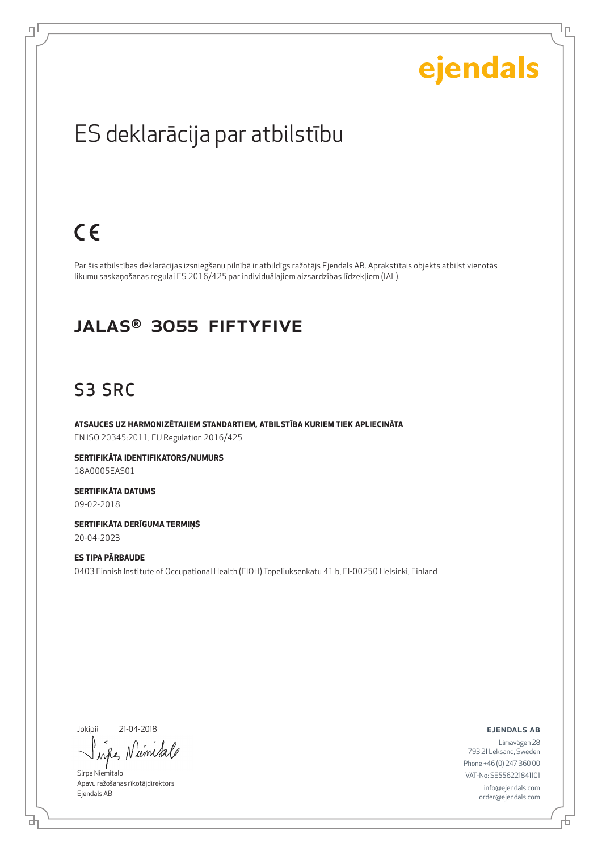Lρ

### ES deklarācija par atbilstību

## $C \in$

ᆗ

Par šīs atbilstības deklarācijas izsniegšanu pilnībā ir atbildīgs ražotājs Ejendals AB. Aprakstītais objekts atbilst vienotās likumu saskaņošanas regulai ES 2016/425 par individuālajiem aizsardzības līdzekļiem (IAL).

#### JALAS® 3055 Fiftyfive

### S3 SRC

**ATSAUCES UZ HARMONIZĒTAJIEM STANDARTIEM, ATBILSTĪBA KURIEM TIEK APLIECINĀTA** EN ISO 20345:2011, EU Regulation 2016/425

**SERTIFIKĀTA IDENTIFIKATORS/NUMURS** 18A0005EAS01

**SERTIFIKĀTA DATUMS** 09-02-2018

**SERTIFIKĀTA DERĪGUMA TERMIŅŠ** 20-04-2023

**ES TIPA PĀRBAUDE** 0403 Finnish Institute of Occupational Health (FIOH) Topeliuksenkatu 41 b, FI-00250 Helsinki, Finland

Jokipii 21-04-2018

umi when

Sirpa Niemitalo Apavu ražošanas rīkotājdirektors Ejendals AB

#### ejendals ab

브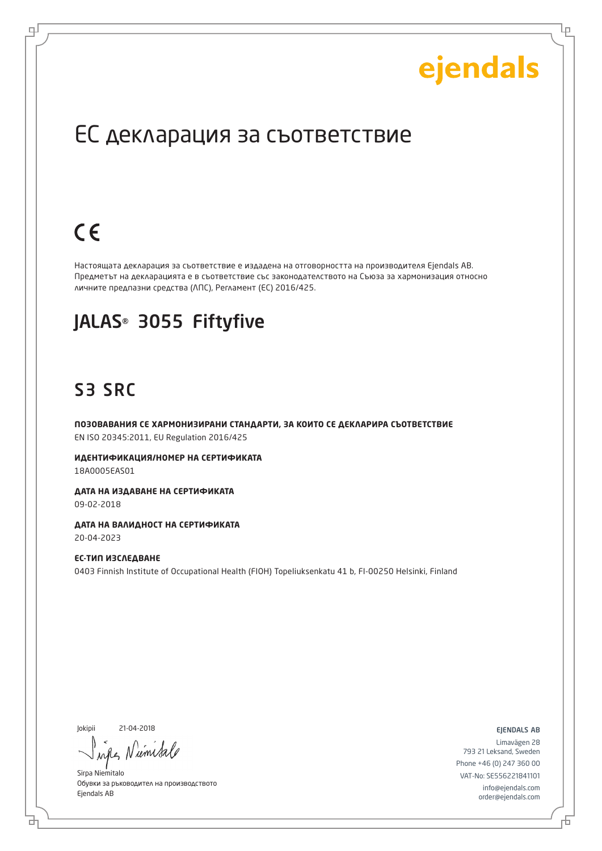Lр

### ЕС декларация за съответствие

## $C \in$

로

Настоящата декларация за съответствие е издадена на отговорността на производителя Ejendals AB. Предметът на декларацията е в съответствие със законодателството на Съюза за хармонизация относно личните предпазни средства (ЛПС), Регламент (ЕС) 2016/425.

### JALAS® 3055 Fiftyfive

### S3 SRC

**ПОЗОВАВАНИЯ СЕ ХАРМОНИЗИРАНИ СТАНДАРТИ, ЗА КОИТО СЕ ДЕКЛАРИРА СЪОТВЕТСТВИЕ** EN ISO 20345:2011, EU Regulation 2016/425

**ИДЕНТИФИКАЦИЯ/НОМЕР НА СЕРТИФИКАТА** 18A0005EAS01

**ДАТА НА ИЗДАВАНЕ НА СЕРТИФИКАТА** 09-02-2018

**ДАТА НА ВАЛИДНОСТ НА СЕРТИФИКАТА** 20-04-2023

**ЕС-ТИП ИЗСЛЕДВАНЕ** 0403 Finnish Institute of Occupational Health (FIOH) Topeliuksenkatu 41 b, FI-00250 Helsinki, Finland

Jokipii 21-04-2018

б

um inter

Sirpa Niemitalo Обувки за ръководител на производството Ejendals AB

ejendals ab

Б